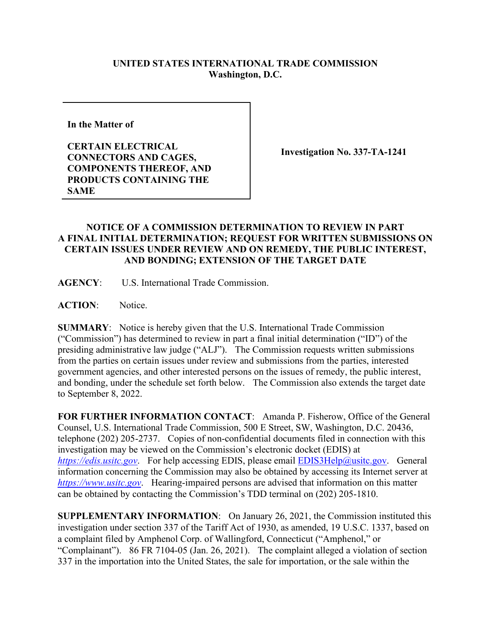## **UNITED STATES INTERNATIONAL TRADE COMMISSION Washington, D.C.**

**In the Matter of** 

**CERTAIN ELECTRICAL CONNECTORS AND CAGES, COMPONENTS THEREOF, AND PRODUCTS CONTAINING THE SAME**

**Investigation No. 337-TA-1241** 

## **NOTICE OF A COMMISSION DETERMINATION TO REVIEW IN PART A FINAL INITIAL DETERMINATION; REQUEST FOR WRITTEN SUBMISSIONS ON CERTAIN ISSUES UNDER REVIEW AND ON REMEDY, THE PUBLIC INTEREST, AND BONDING; EXTENSION OF THE TARGET DATE**

**AGENCY**: U.S. International Trade Commission.

ACTION: Notice.

**SUMMARY**: Notice is hereby given that the U.S. International Trade Commission ("Commission") has determined to review in part a final initial determination ("ID") of the presiding administrative law judge ("ALJ"). The Commission requests written submissions from the parties on certain issues under review and submissions from the parties, interested government agencies, and other interested persons on the issues of remedy, the public interest, and bonding, under the schedule set forth below. The Commission also extends the target date to September 8, 2022.

**FOR FURTHER INFORMATION CONTACT**: Amanda P. Fisherow, Office of the General Counsel, U.S. International Trade Commission, 500 E Street, SW, Washington, D.C. 20436, telephone (202) 205-2737. Copies of non-confidential documents filed in connection with this investigation may be viewed on the Commission's electronic docket (EDIS) at *[https://edis.usitc.gov](https://edis.usitc.gov/).* For help accessing EDIS, please email [EDIS3Help@usitc.gov.](mailto:EDIS3Help@usitc.gov) General information concerning the Commission may also be obtained by accessing its Internet server at *[https://www.usitc.gov](https://www.usitc.gov/)*. Hearing-impaired persons are advised that information on this matter can be obtained by contacting the Commission's TDD terminal on (202) 205-1810.

**SUPPLEMENTARY INFORMATION**: On January 26, 2021, the Commission instituted this investigation under section 337 of the Tariff Act of 1930, as amended, 19 U.S.C. 1337, based on a complaint filed by Amphenol Corp. of Wallingford, Connecticut ("Amphenol," or "Complainant"). 86 FR 7104-05 (Jan. 26, 2021). The complaint alleged a violation of section 337 in the importation into the United States, the sale for importation, or the sale within the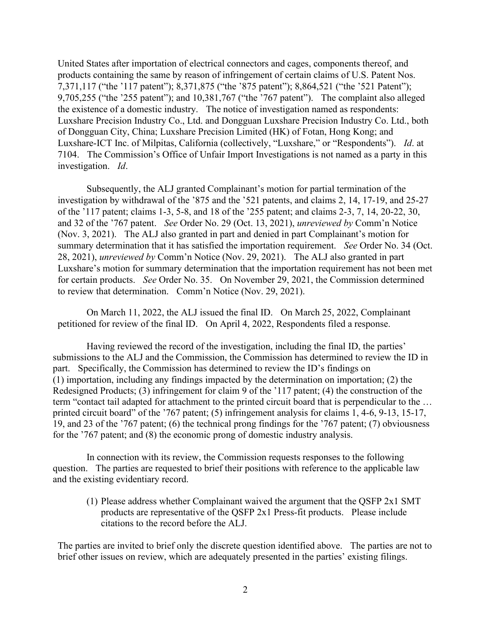United States after importation of electrical connectors and cages, components thereof, and products containing the same by reason of infringement of certain claims of U.S. Patent Nos. 7,371,117 ("the '117 patent"); 8,371,875 ("the '875 patent"); 8,864,521 ("the '521 Patent"); 9,705,255 ("the '255 patent"); and 10,381,767 ("the '767 patent"). The complaint also alleged the existence of a domestic industry. The notice of investigation named as respondents: Luxshare Precision Industry Co., Ltd. and Dongguan Luxshare Precision Industry Co. Ltd., both of Dongguan City, China; Luxshare Precision Limited (HK) of Fotan, Hong Kong; and Luxshare-ICT Inc. of Milpitas, California (collectively, "Luxshare," or "Respondents"). *Id*. at 7104. The Commission's Office of Unfair Import Investigations is not named as a party in this investigation. *Id*.

Subsequently, the ALJ granted Complainant's motion for partial termination of the investigation by withdrawal of the '875 and the '521 patents, and claims 2, 14, 17-19, and 25-27 of the '117 patent; claims 1-3, 5-8, and 18 of the '255 patent; and claims 2-3, 7, 14, 20-22, 30, and 32 of the '767 patent. *See* Order No. 29 (Oct. 13, 2021), *unreviewed by* Comm'n Notice (Nov. 3, 2021). The ALJ also granted in part and denied in part Complainant's motion for summary determination that it has satisfied the importation requirement. *See* Order No. 34 (Oct. 28, 2021), *unreviewed by* Comm'n Notice (Nov. 29, 2021). The ALJ also granted in part Luxshare's motion for summary determination that the importation requirement has not been met for certain products. *See* Order No. 35. On November 29, 2021, the Commission determined to review that determination. Comm'n Notice (Nov. 29, 2021).

On March 11, 2022, the ALJ issued the final ID. On March 25, 2022, Complainant petitioned for review of the final ID. On April 4, 2022, Respondents filed a response.

Having reviewed the record of the investigation, including the final ID, the parties' submissions to the ALJ and the Commission, the Commission has determined to review the ID in part. Specifically, the Commission has determined to review the ID's findings on (1) importation, including any findings impacted by the determination on importation; (2) the Redesigned Products; (3) infringement for claim 9 of the '117 patent; (4) the construction of the term "contact tail adapted for attachment to the printed circuit board that is perpendicular to the … printed circuit board" of the '767 patent; (5) infringement analysis for claims 1, 4-6, 9-13, 15-17, 19, and 23 of the '767 patent; (6) the technical prong findings for the '767 patent; (7) obviousness for the '767 patent; and (8) the economic prong of domestic industry analysis.

In connection with its review, the Commission requests responses to the following question. The parties are requested to brief their positions with reference to the applicable law and the existing evidentiary record.

(1) Please address whether Complainant waived the argument that the QSFP 2x1 SMT products are representative of the QSFP 2x1 Press-fit products. Please include citations to the record before the ALJ.

The parties are invited to brief only the discrete question identified above. The parties are not to brief other issues on review, which are adequately presented in the parties' existing filings.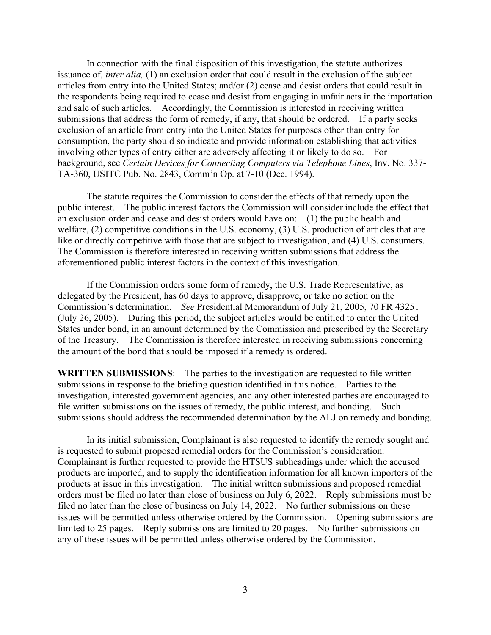In connection with the final disposition of this investigation, the statute authorizes issuance of, *inter alia,* (1) an exclusion order that could result in the exclusion of the subject articles from entry into the United States; and/or (2) cease and desist orders that could result in the respondents being required to cease and desist from engaging in unfair acts in the importation and sale of such articles. Accordingly, the Commission is interested in receiving written submissions that address the form of remedy, if any, that should be ordered. If a party seeks exclusion of an article from entry into the United States for purposes other than entry for consumption, the party should so indicate and provide information establishing that activities involving other types of entry either are adversely affecting it or likely to do so. For background, see *Certain Devices for Connecting Computers via Telephone Lines*, Inv. No. 337- TA-360, USITC Pub. No. 2843, Comm'n Op. at 7-10 (Dec. 1994).

The statute requires the Commission to consider the effects of that remedy upon the public interest. The public interest factors the Commission will consider include the effect that an exclusion order and cease and desist orders would have on: (1) the public health and welfare, (2) competitive conditions in the U.S. economy, (3) U.S. production of articles that are like or directly competitive with those that are subject to investigation, and (4) U.S. consumers. The Commission is therefore interested in receiving written submissions that address the aforementioned public interest factors in the context of this investigation.

If the Commission orders some form of remedy, the U.S. Trade Representative, as delegated by the President, has 60 days to approve, disapprove, or take no action on the Commission's determination. *See* Presidential Memorandum of July 21, 2005, 70 FR 43251 (July 26, 2005). During this period, the subject articles would be entitled to enter the United States under bond, in an amount determined by the Commission and prescribed by the Secretary of the Treasury. The Commission is therefore interested in receiving submissions concerning the amount of the bond that should be imposed if a remedy is ordered.

**WRITTEN SUBMISSIONS**: The parties to the investigation are requested to file written submissions in response to the briefing question identified in this notice. Parties to the investigation, interested government agencies, and any other interested parties are encouraged to file written submissions on the issues of remedy, the public interest, and bonding. Such submissions should address the recommended determination by the ALJ on remedy and bonding.

In its initial submission, Complainant is also requested to identify the remedy sought and is requested to submit proposed remedial orders for the Commission's consideration. Complainant is further requested to provide the HTSUS subheadings under which the accused products are imported, and to supply the identification information for all known importers of the products at issue in this investigation. The initial written submissions and proposed remedial orders must be filed no later than close of business on July 6, 2022. Reply submissions must be filed no later than the close of business on July 14, 2022. No further submissions on these issues will be permitted unless otherwise ordered by the Commission. Opening submissions are limited to 25 pages. Reply submissions are limited to 20 pages. No further submissions on any of these issues will be permitted unless otherwise ordered by the Commission.